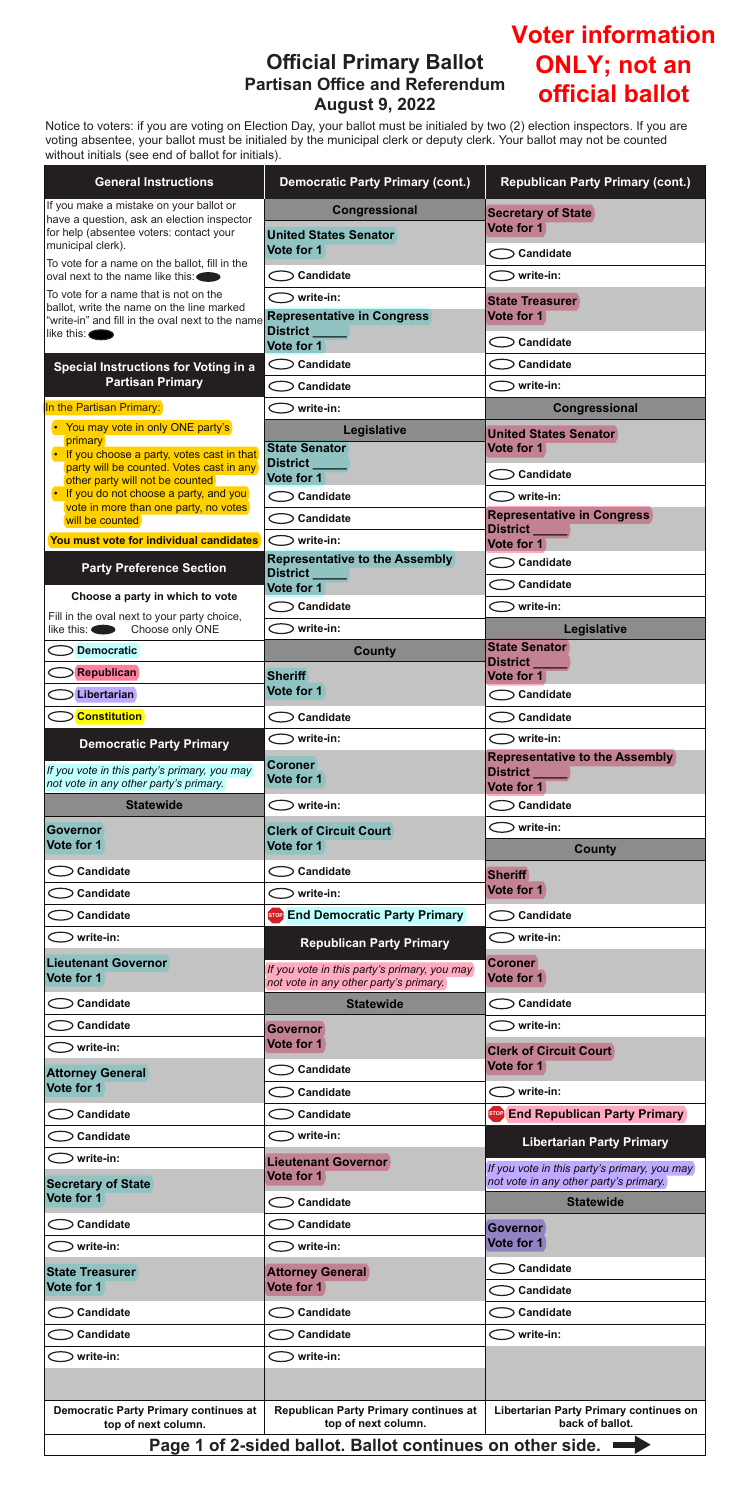## **Official Primary Ballot Partisan Office and Referendum August 9, 2022**

Notice to voters: if you are voting on Election Day, your ballot must be initialed by two (2) election inspectors. If you are voting absentee, your ballot must be initialed by the municipal clerk or deputy clerk. Your ballot may not be counted without initials (see end of ballot for initials).

| <b>General Instructions</b>                                                                   | <b>Democratic Party Primary (cont.)</b>                                                | <b>Republican Party Primary (cont.)</b>                                                |
|-----------------------------------------------------------------------------------------------|----------------------------------------------------------------------------------------|----------------------------------------------------------------------------------------|
| If you make a mistake on your ballot or<br>have a question, ask an election inspector         | Congressional                                                                          | <b>Secretary of State</b>                                                              |
| for help (absentee voters: contact your<br>municipal clerk).                                  | <b>United States Senator</b><br>Vote for 1                                             | Vote for 1                                                                             |
| To vote for a name on the ballot, fill in the<br>oval next to the name like this:             | <b>Candidate</b>                                                                       | Candidate<br>⊃ write-in:                                                               |
| To vote for a name that is not on the                                                         | $\bigcirc$ write-in:                                                                   | <b>State Treasurer</b>                                                                 |
| ballot, write the name on the line marked<br>"write-in" and fill in the oval next to the name | <b>Representative in Congress</b>                                                      | Vote for 1                                                                             |
| like this:                                                                                    | District _____<br>Vote for 1                                                           | Candidate <                                                                            |
| <b>Special Instructions for Voting in a</b>                                                   | $\bigcirc$ Candidate                                                                   | <b>Candidate</b>                                                                       |
| <b>Partisan Primary</b>                                                                       | Candidate                                                                              | write-in:                                                                              |
| In the Partisan Primary:                                                                      | write-in:                                                                              | Congressional                                                                          |
| • You may vote in only ONE party's<br>primary                                                 | Legislative                                                                            | <b>United States Senator</b>                                                           |
| • If you choose a party, votes cast in that<br>party will be counted. Votes cast in any       | <b>State Senator</b><br>District ___                                                   | Vote for 1                                                                             |
| other party will not be counted<br>• If you do not choose a party, and you                    | Vote for 1<br>Candidate                                                                | Candidate <<br>$\bigcirc$ write-in:                                                    |
| vote in more than one party, no votes<br>will be counted                                      | Candidate                                                                              | <b>Representative in Congress</b>                                                      |
| You must vote for individual candidates                                                       | $\bigcirc$ write-in:                                                                   | District _____<br>Vote for 1                                                           |
| <b>Party Preference Section</b>                                                               | <b>Representative to the Assembly</b>                                                  | $\supset$ Candidate                                                                    |
|                                                                                               | District <b>League</b><br>Vote for 1                                                   | Candidate                                                                              |
| Choose a party in which to vote<br>Fill in the oval next to your party choice,                | Candidate <                                                                            | ⊃ write-in:                                                                            |
| like this: Choose only ONE                                                                    | write-in:                                                                              | Legislative                                                                            |
| <b>Democratic</b>                                                                             | <b>County</b>                                                                          | <b>State Senator</b><br>District_                                                      |
| <b>Republican</b>                                                                             | <b>Sheriff</b>                                                                         | Vote for 1                                                                             |
| Libertarian                                                                                   | Vote for 1                                                                             | $\bigcirc$ Candidate                                                                   |
| <b>Constitution</b>                                                                           | $\bigcirc$ Candidate                                                                   | Candidate                                                                              |
| <b>Democratic Party Primary</b>                                                               | $>$ write-in:                                                                          | $>$ write-in:<br><b>Representative to the Assembly</b>                                 |
| If you vote in this party's primary, you may<br>not vote in any other party's primary.        | <b>Coroner</b><br>Vote for 1                                                           | District _____<br>Vote for 1                                                           |
| <b>Statewide</b>                                                                              | $\bigcirc$ write-in:                                                                   | Candidate <                                                                            |
| Governor                                                                                      | <b>Clerk of Circuit Court</b>                                                          | write-in:                                                                              |
| Vote for 1                                                                                    | Vote for 1                                                                             | <b>County</b>                                                                          |
| Candidate                                                                                     | Candidate                                                                              | <b>Sheriff</b><br>Vote for 1                                                           |
| Candidate                                                                                     | write-in:                                                                              |                                                                                        |
| Candidate<br>⊃ write-in:                                                                      | Stop End Democratic Party Primary                                                      | Candidate<br>⊃ write-in:                                                               |
| <b>Lieutenant Governor</b>                                                                    | <b>Republican Party Primary</b>                                                        | <b>Coroner</b>                                                                         |
| Vote for 1                                                                                    | If you vote in this party's primary, you may<br>not vote in any other party's primary. | Vote for 1                                                                             |
| Candidate                                                                                     | <b>Statewide</b>                                                                       | Candidate                                                                              |
| Candidate                                                                                     | <b>Governor</b>                                                                        | ⊃ write-in:                                                                            |
| write-in:                                                                                     | Vote for 1                                                                             | <b>Clerk of Circuit Court</b><br>Vote for 1                                            |
| <b>Attorney General</b><br>Vote for 1                                                         | <b>Candidate</b><br>Candidate                                                          | ⊃ write-in:                                                                            |
| Candidate                                                                                     | <b>Candidate</b>                                                                       | Stop End Republican Party Primary                                                      |
| <b>Candidate</b>                                                                              | $\bigcirc$ write-in:                                                                   |                                                                                        |
| write-in:                                                                                     | <b>Lieutenant Governor</b>                                                             | <b>Libertarian Party Primary</b>                                                       |
| <b>Secretary of State</b>                                                                     | Vote for 1                                                                             | If you vote in this party's primary, you may<br>not vote in any other party's primary. |
| Vote for 1                                                                                    | <b>Candidate</b>                                                                       | <b>Statewide</b>                                                                       |
| Candidate                                                                                     | Candidate                                                                              | <b>Governor</b>                                                                        |
| write-in:                                                                                     | write-in:                                                                              | Vote for 1                                                                             |
| <b>State Treasurer</b><br>Vote for 1                                                          | <b>Attorney General</b><br>Vote for 1                                                  | $\bigcirc$ Candidate<br><b>Candidate</b>                                               |
| Candidate                                                                                     | Candidate                                                                              | <b>Candidate</b>                                                                       |
| Candidate                                                                                     | Candidate                                                                              | write-in:                                                                              |
| write-in:                                                                                     | write-in:                                                                              |                                                                                        |
|                                                                                               |                                                                                        |                                                                                        |
| <b>Democratic Party Primary continues at</b>                                                  | <b>Republican Party Primary continues at</b>                                           | <b>Libertarian Party Primary continues on</b>                                          |
| top of next column.                                                                           | top of next column.                                                                    | back of ballot.                                                                        |
|                                                                                               | Page 1 of 2-sided ballot. Ballot continues on other side.                              |                                                                                        |

## **Voter information ONLY; not an official ballot**